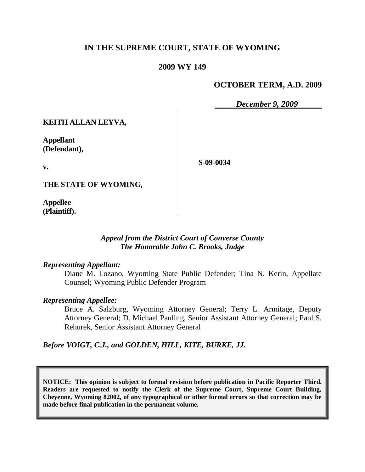# **IN THE SUPREME COURT, STATE OF WYOMING**

### **2009 WY 149**

## **OCTOBER TERM, A.D. 2009**

*December 9, 2009*

**KEITH ALLAN LEYVA,**

**Appellant (Defendant),**

**S-09-0034**

**THE STATE OF WYOMING,**

**Appellee (Plaintiff).**

**v.**

### *Appeal from the District Court of Converse County The Honorable John C. Brooks, Judge*

#### *Representing Appellant:*

Diane M. Lozano, Wyoming State Public Defender; Tina N. Kerin, Appellate Counsel; Wyoming Public Defender Program

#### *Representing Appellee:*

Bruce A. Salzburg, Wyoming Attorney General; Terry L. Armitage, Deputy Attorney General; D. Michael Pauling, Senior Assistant Attorney General; Paul S. Rehurek, Senior Assistant Attorney General

### *Before VOIGT, C.J., and GOLDEN, HILL, KITE, BURKE, JJ.*

**NOTICE: This opinion is subject to formal revision before publication in Pacific Reporter Third. Readers are requested to notify the Clerk of the Supreme Court, Supreme Court Building, Cheyenne, Wyoming 82002, of any typographical or other formal errors so that correction may be made before final publication in the permanent volume.**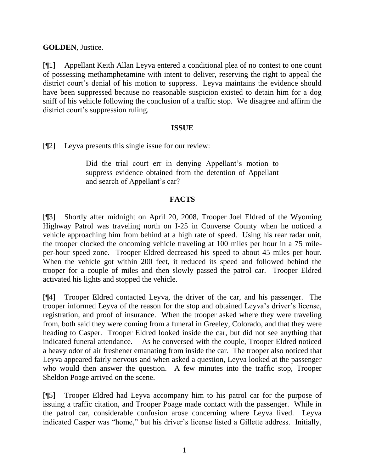**GOLDEN**, Justice.

[¶1] Appellant Keith Allan Leyva entered a conditional plea of no contest to one count of possessing methamphetamine with intent to deliver, reserving the right to appeal the district court's denial of his motion to suppress. Leyva maintains the evidence should have been suppressed because no reasonable suspicion existed to detain him for a dog sniff of his vehicle following the conclusion of a traffic stop. We disagree and affirm the district court's suppression ruling.

## **ISSUE**

[¶2] Leyva presents this single issue for our review:

Did the trial court err in denying Appellant's motion to suppress evidence obtained from the detention of Appellant and search of Appellant's car?

# **FACTS**

[¶3] Shortly after midnight on April 20, 2008, Trooper Joel Eldred of the Wyoming Highway Patrol was traveling north on I-25 in Converse County when he noticed a vehicle approaching him from behind at a high rate of speed. Using his rear radar unit, the trooper clocked the oncoming vehicle traveling at 100 miles per hour in a 75 mileper-hour speed zone. Trooper Eldred decreased his speed to about 45 miles per hour. When the vehicle got within 200 feet, it reduced its speed and followed behind the trooper for a couple of miles and then slowly passed the patrol car. Trooper Eldred activated his lights and stopped the vehicle.

[¶4] Trooper Eldred contacted Leyva, the driver of the car, and his passenger. The trooper informed Leyva of the reason for the stop and obtained Leyva's driver's license, registration, and proof of insurance. When the trooper asked where they were traveling from, both said they were coming from a funeral in Greeley, Colorado, and that they were heading to Casper. Trooper Eldred looked inside the car, but did not see anything that indicated funeral attendance. As he conversed with the couple, Trooper Eldred noticed a heavy odor of air freshener emanating from inside the car. The trooper also noticed that Leyva appeared fairly nervous and when asked a question, Leyva looked at the passenger who would then answer the question. A few minutes into the traffic stop, Trooper Sheldon Poage arrived on the scene.

[¶5] Trooper Eldred had Leyva accompany him to his patrol car for the purpose of issuing a traffic citation, and Trooper Poage made contact with the passenger. While in the patrol car, considerable confusion arose concerning where Leyva lived. Leyva indicated Casper was "home," but his driver's license listed a Gillette address. Initially,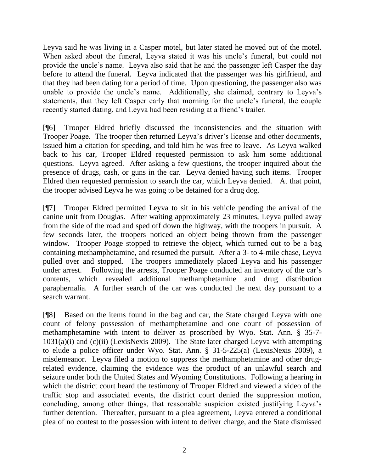Leyva said he was living in a Casper motel, but later stated he moved out of the motel. When asked about the funeral, Leyva stated it was his uncle's funeral, but could not provide the uncle's name. Leyva also said that he and the passenger left Casper the day before to attend the funeral. Leyva indicated that the passenger was his girlfriend, and that they had been dating for a period of time. Upon questioning, the passenger also was unable to provide the uncle's name. Additionally, she claimed, contrary to Leyva's statements, that they left Casper early that morning for the uncle's funeral, the couple recently started dating, and Leyva had been residing at a friend's trailer.

[¶6] Trooper Eldred briefly discussed the inconsistencies and the situation with Trooper Poage. The trooper then returned Leyva's driver's license and other documents, issued him a citation for speeding, and told him he was free to leave. As Leyva walked back to his car, Trooper Eldred requested permission to ask him some additional questions. Leyva agreed. After asking a few questions, the trooper inquired about the presence of drugs, cash, or guns in the car. Leyva denied having such items. Trooper Eldred then requested permission to search the car, which Leyva denied. At that point, the trooper advised Leyva he was going to be detained for a drug dog.

[¶7] Trooper Eldred permitted Leyva to sit in his vehicle pending the arrival of the canine unit from Douglas. After waiting approximately 23 minutes, Leyva pulled away from the side of the road and sped off down the highway, with the troopers in pursuit. A few seconds later, the troopers noticed an object being thrown from the passenger window. Trooper Poage stopped to retrieve the object, which turned out to be a bag containing methamphetamine, and resumed the pursuit. After a 3- to 4-mile chase, Leyva pulled over and stopped. The troopers immediately placed Leyva and his passenger under arrest. Following the arrests, Trooper Poage conducted an inventory of the car's contents, which revealed additional methamphetamine and drug distribution paraphernalia. A further search of the car was conducted the next day pursuant to a search warrant.

[¶8] Based on the items found in the bag and car, the State charged Leyva with one count of felony possession of methamphetamine and one count of possession of methamphetamine with intent to deliver as proscribed by Wyo. Stat. Ann. § 35-7-  $1031(a)(i)$  and  $(c)(ii)$  (LexisNexis 2009). The State later charged Leyva with attempting to elude a police officer under Wyo. Stat. Ann. § 31-5-225(a) (LexisNexis 2009), a misdemeanor. Leyva filed a motion to suppress the methamphetamine and other drugrelated evidence, claiming the evidence was the product of an unlawful search and seizure under both the United States and Wyoming Constitutions. Following a hearing in which the district court heard the testimony of Trooper Eldred and viewed a video of the traffic stop and associated events, the district court denied the suppression motion, concluding, among other things, that reasonable suspicion existed justifying Leyva's further detention. Thereafter, pursuant to a plea agreement, Leyva entered a conditional plea of no contest to the possession with intent to deliver charge, and the State dismissed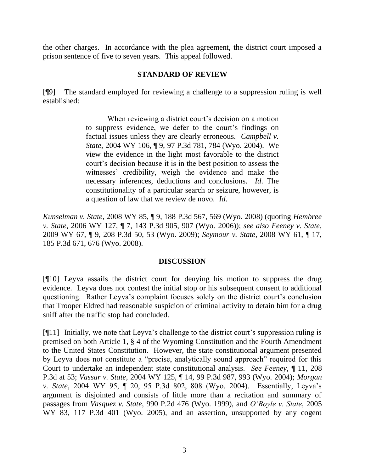the other charges. In accordance with the plea agreement, the district court imposed a prison sentence of five to seven years. This appeal followed.

### **STANDARD OF REVIEW**

[¶9] The standard employed for reviewing a challenge to a suppression ruling is well established:

> When reviewing a district court's decision on a motion to suppress evidence, we defer to the court's findings on factual issues unless they are clearly erroneous. *Campbell v. State*, 2004 WY 106, ¶ 9, 97 P.3d 781, 784 (Wyo. 2004). We view the evidence in the light most favorable to the district court's decision because it is in the best position to assess the witnesses' credibility, weigh the evidence and make the necessary inferences, deductions and conclusions. *Id*. The constitutionality of a particular search or seizure, however, is a question of law that we review de novo. *Id*.

*Kunselman v. State*, 2008 WY 85, ¶ 9, 188 P.3d 567, 569 (Wyo. 2008) (quoting *Hembree v. State*, 2006 WY 127, ¶ 7, 143 P.3d 905, 907 (Wyo. 2006)); *see also Feeney v. State*, 2009 WY 67, ¶ 9, 208 P.3d 50, 53 (Wyo. 2009); *Seymour v. State*, 2008 WY 61, ¶ 17, 185 P.3d 671, 676 (Wyo. 2008).

## **DISCUSSION**

[¶10] Leyva assails the district court for denying his motion to suppress the drug evidence. Leyva does not contest the initial stop or his subsequent consent to additional questioning. Rather Leyva's complaint focuses solely on the district court's conclusion that Trooper Eldred had reasonable suspicion of criminal activity to detain him for a drug sniff after the traffic stop had concluded.

[¶11] Initially, we note that Leyva's challenge to the district court's suppression ruling is premised on both Article 1, § 4 of the Wyoming Constitution and the Fourth Amendment to the United States Constitution. However, the state constitutional argument presented by Leyva does not constitute a "precise, analytically sound approach" required for this Court to undertake an independent state constitutional analysis. *See Feeney*, ¶ 11, 208 P.3d at 53; *Vassar v. State*, 2004 WY 125, ¶ 14, 99 P.3d 987, 993 (Wyo. 2004); *Morgan v. State*, 2004 WY 95, ¶ 20, 95 P.3d 802, 808 (Wyo. 2004). Essentially, Leyva's argument is disjointed and consists of little more than a recitation and summary of passages from *Vasquez v. State*, 990 P.2d 476 (Wyo. 1999), and *O'Boyle v. State*, 2005 WY 83, 117 P.3d 401 (Wyo. 2005), and an assertion, unsupported by any cogent